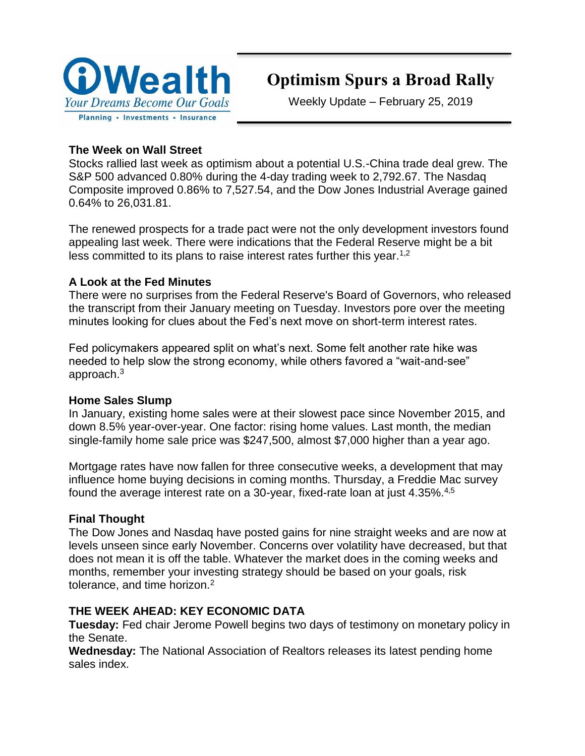

# **Optimism Spurs a Broad Rally**

Weekly Update – February 25, 2019

# **The Week on Wall Street**

Stocks rallied last week as optimism about a potential U.S.-China trade deal grew. The S&P 500 advanced 0.80% during the 4-day trading week to 2,792.67. The Nasdaq Composite improved 0.86% to 7,527.54, and the Dow Jones Industrial Average gained 0.64% to 26,031.81.

The renewed prospects for a trade pact were not the only development investors found appealing last week. There were indications that the Federal Reserve might be a bit less committed to its plans to raise interest rates further this year.<sup>1,2</sup>

# **A Look at the Fed Minutes**

There were no surprises from the Federal Reserve's Board of Governors, who released the transcript from their January meeting on Tuesday. Investors pore over the meeting minutes looking for clues about the Fed's next move on short-term interest rates.

Fed policymakers appeared split on what's next. Some felt another rate hike was needed to help slow the strong economy, while others favored a "wait-and-see" approach.<sup>3</sup>

# **Home Sales Slump**

In January, existing home sales were at their slowest pace since November 2015, and down 8.5% year-over-year. One factor: rising home values. Last month, the median single-family home sale price was \$247,500, almost \$7,000 higher than a year ago.

Mortgage rates have now fallen for three consecutive weeks, a development that may influence home buying decisions in coming months. Thursday, a Freddie Mac survey found the average interest rate on a 30-year, fixed-rate loan at just 4.35%.4,5

# **Final Thought**

The Dow Jones and Nasdaq have posted gains for nine straight weeks and are now at levels unseen since early November. Concerns over volatility have decreased, but that does not mean it is off the table. Whatever the market does in the coming weeks and months, remember your investing strategy should be based on your goals, risk tolerance, and time horizon.<sup>2</sup>

# **THE WEEK AHEAD: KEY ECONOMIC DATA**

**Tuesday:** Fed chair Jerome Powell begins two days of testimony on monetary policy in the Senate.

**Wednesday:** The National Association of Realtors releases its latest pending home sales index.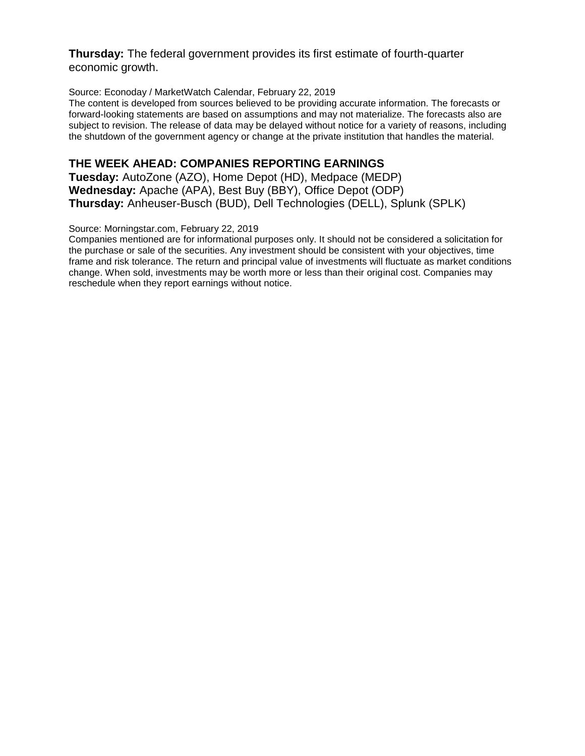#### **Thursday:** The federal government provides its first estimate of fourth-quarter economic growth.

#### Source: Econoday / MarketWatch Calendar, February 22, 2019

The content is developed from sources believed to be providing accurate information. The forecasts or forward-looking statements are based on assumptions and may not materialize. The forecasts also are subject to revision. The release of data may be delayed without notice for a variety of reasons, including the shutdown of the government agency or change at the private institution that handles the material.

#### **THE WEEK AHEAD: COMPANIES REPORTING EARNINGS**

**Tuesday:** AutoZone (AZO), Home Depot (HD), Medpace (MEDP) **Wednesday:** Apache (APA), Best Buy (BBY), Office Depot (ODP) **Thursday:** Anheuser-Busch (BUD), Dell Technologies (DELL), Splunk (SPLK)

#### Source: Morningstar.com, February 22, 2019

Companies mentioned are for informational purposes only. It should not be considered a solicitation for the purchase or sale of the securities. Any investment should be consistent with your objectives, time frame and risk tolerance. The return and principal value of investments will fluctuate as market conditions change. When sold, investments may be worth more or less than their original cost. Companies may reschedule when they report earnings without notice.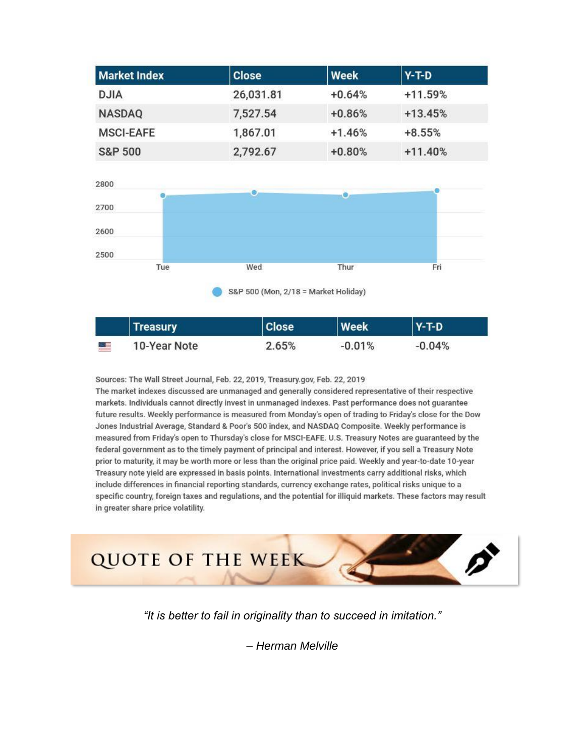| <b>Market Index</b> | <b>Close</b> | Week     | $Y-T-D$   |
|---------------------|--------------|----------|-----------|
| <b>DJIA</b>         | 26,031.81    | $+0.64%$ | $+11.59%$ |
| <b>NASDAQ</b>       | 7,527.54     | $+0.86%$ | $+13.45%$ |
| <b>MSCI-EAFE</b>    | 1,867.01     | $+1.46%$ | $+8.55%$  |
| <b>S&amp;P 500</b>  | 2,792.67     | $+0.80%$ | $+11.40%$ |



|            | <b>Treasury</b> | <b>Close</b> | Week     | $Y-T-D$  |  |
|------------|-----------------|--------------|----------|----------|--|
| <u>e s</u> | 10-Year Note    | $2.65\%$     | $-0.01%$ | $-0.04%$ |  |

Sources: The Wall Street Journal, Feb. 22, 2019, Treasury.gov, Feb. 22, 2019 The market indexes discussed are unmanaged and generally considered representative of their respective markets. Individuals cannot directly invest in unmanaged indexes. Past performance does not guarantee future results. Weekly performance is measured from Monday's open of trading to Friday's close for the Dow Jones Industrial Average, Standard & Poor's 500 index, and NASDAQ Composite. Weekly performance is measured from Friday's open to Thursday's close for MSCI-EAFE. U.S. Treasury Notes are guaranteed by the federal government as to the timely payment of principal and interest. However, if you sell a Treasury Note prior to maturity, it may be worth more or less than the original price paid. Weekly and year-to-date 10-year Treasury note yield are expressed in basis points. International investments carry additional risks, which include differences in financial reporting standards, currency exchange rates, political risks unique to a specific country, foreign taxes and regulations, and the potential for illiquid markets. These factors may result in greater share price volatility.



*"It is better to fail in originality than to succeed in imitation."*

*– Herman Melville*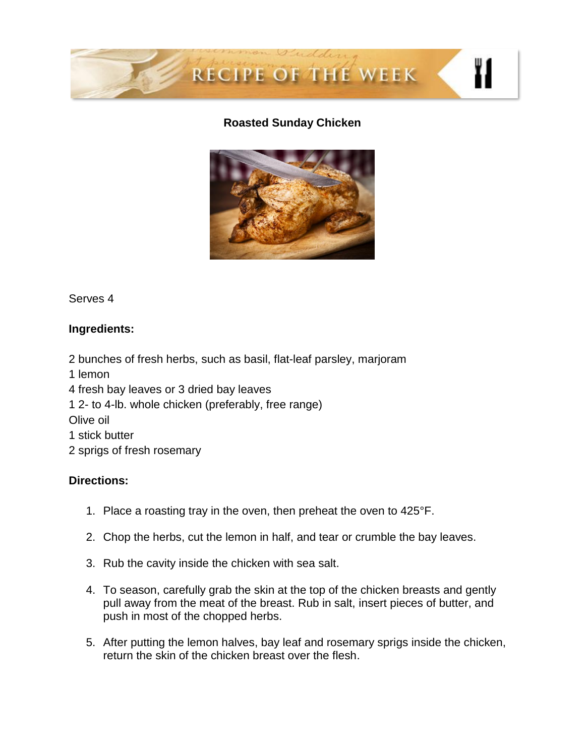

#### **Roasted Sunday Chicken**



#### Serves 4

# **Ingredients:**

2 bunches of fresh herbs, such as basil, flat-leaf parsley, marjoram

1 lemon

4 fresh bay leaves or 3 dried bay leaves

1 2- to 4-lb. whole chicken (preferably, free range)

Olive oil

1 stick butter

2 sprigs of fresh rosemary

#### **Directions:**

- 1. Place a roasting tray in the oven, then preheat the oven to 425°F.
- 2. Chop the herbs, cut the lemon in half, and tear or crumble the bay leaves.
- 3. Rub the cavity inside the chicken with sea salt.
- 4. To season, carefully grab the skin at the top of the chicken breasts and gently pull away from the meat of the breast. Rub in salt, insert pieces of butter, and push in most of the chopped herbs.
- 5. After putting the lemon halves, bay leaf and rosemary sprigs inside the chicken, return the skin of the chicken breast over the flesh.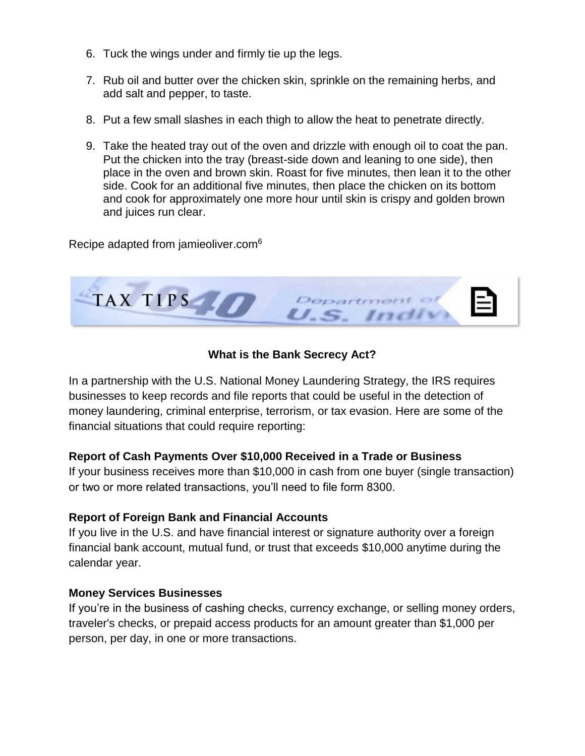- 6. Tuck the wings under and firmly tie up the legs.
- 7. Rub oil and butter over the chicken skin, sprinkle on the remaining herbs, and add salt and pepper, to taste.
- 8. Put a few small slashes in each thigh to allow the heat to penetrate directly.
- 9. Take the heated tray out of the oven and drizzle with enough oil to coat the pan. Put the chicken into the tray (breast-side down and leaning to one side), then place in the oven and brown skin. Roast for five minutes, then lean it to the other side. Cook for an additional five minutes, then place the chicken on its bottom and cook for approximately one more hour until skin is crispy and golden brown and juices run clear.

Recipe adapted from jamieoliver.com<sup>6</sup>



## **What is the Bank Secrecy Act?**

In a partnership with the U.S. National Money Laundering Strategy, the IRS requires businesses to keep records and file reports that could be useful in the detection of money laundering, criminal enterprise, terrorism, or tax evasion. Here are some of the financial situations that could require reporting:

#### **Report of Cash Payments Over \$10,000 Received in a Trade or Business**

If your business receives more than \$10,000 in cash from one buyer (single transaction) or two or more related transactions, you'll need to file form 8300.

#### **Report of Foreign Bank and Financial Accounts**

If you live in the U.S. and have financial interest or signature authority over a foreign financial bank account, mutual fund, or trust that exceeds \$10,000 anytime during the calendar year.

#### **Money Services Businesses**

If you're in the business of cashing checks, currency exchange, or selling money orders, traveler's checks, or prepaid access products for an amount greater than \$1,000 per person, per day, in one or more transactions.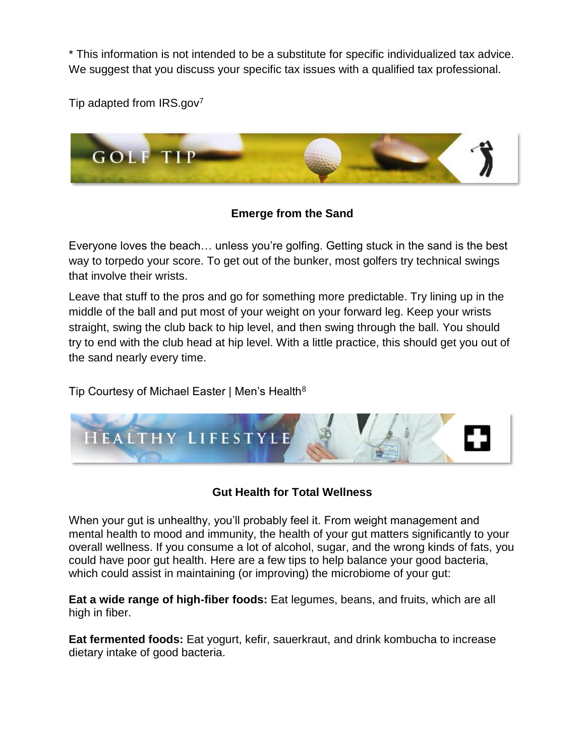\* This information is not intended to be a substitute for specific individualized tax advice. We suggest that you discuss your specific tax issues with a qualified tax professional.

Tip adapted from  $IRS.gov^7$ 



# **Emerge from the Sand**

Everyone loves the beach… unless you're golfing. Getting stuck in the sand is the best way to torpedo your score. To get out of the bunker, most golfers try technical swings that involve their wrists.

Leave that stuff to the pros and go for something more predictable. Try lining up in the middle of the ball and put most of your weight on your forward leg. Keep your wrists straight, swing the club back to hip level, and then swing through the ball. You should try to end with the club head at hip level. With a little practice, this should get you out of the sand nearly every time.

Tip Courtesy of Michael Easter | Men's Health<sup>8</sup>



# **Gut Health for Total Wellness**

When your gut is unhealthy, you'll probably feel it. From weight management and mental health to mood and immunity, the health of your gut matters significantly to your overall wellness. If you consume a lot of alcohol, sugar, and the wrong kinds of fats, you could have poor gut health. Here are a few tips to help balance your good bacteria, which could assist in maintaining (or improving) the microbiome of your gut:

**Eat a wide range of high-fiber foods:** Eat legumes, beans, and fruits, which are all high in fiber.

**Eat fermented foods:** Eat yogurt, kefir, sauerkraut, and drink kombucha to increase dietary intake of good bacteria.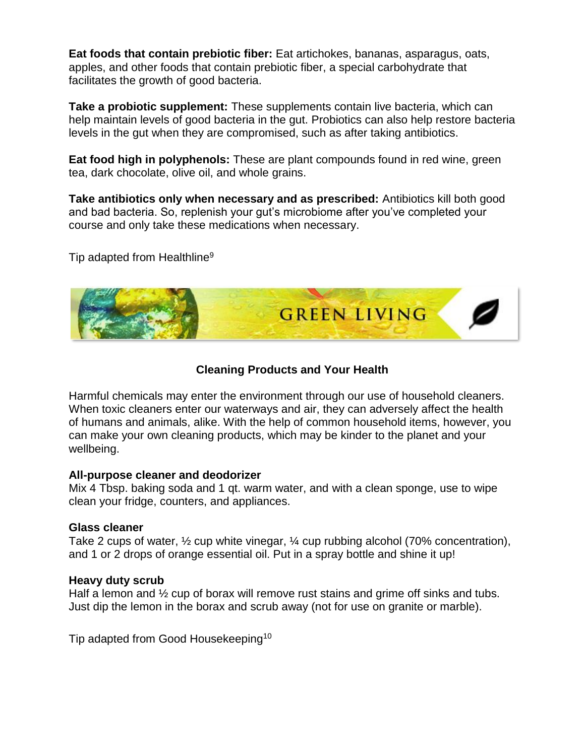**Eat foods that contain prebiotic fiber:** Eat artichokes, bananas, asparagus, oats, apples, and other foods that contain prebiotic fiber, a special carbohydrate that facilitates the growth of good bacteria.

**Take a probiotic supplement:** These supplements contain live bacteria, which can help maintain levels of good bacteria in the gut. Probiotics can also help restore bacteria levels in the gut when they are compromised, such as after taking antibiotics.

**Eat food high in polyphenols:** These are plant compounds found in red wine, green tea, dark chocolate, olive oil, and whole grains.

**Take antibiotics only when necessary and as prescribed:** Antibiotics kill both good and bad bacteria. So, replenish your gut's microbiome after you've completed your course and only take these medications when necessary.

Tip adapted from Healthline<sup>9</sup>



## **Cleaning Products and Your Health**

Harmful chemicals may enter the environment through our use of household cleaners. When toxic cleaners enter our waterways and air, they can adversely affect the health of humans and animals, alike. With the help of common household items, however, you can make your own cleaning products, which may be kinder to the planet and your wellbeing.

#### **All-purpose cleaner and deodorizer**

Mix 4 Tbsp. baking soda and 1 qt. warm water, and with a clean sponge, use to wipe clean your fridge, counters, and appliances.

#### **Glass cleaner**

Take 2 cups of water, ½ cup white vinegar, ¼ cup rubbing alcohol (70% concentration), and 1 or 2 drops of orange essential oil. Put in a spray bottle and shine it up!

#### **Heavy duty scrub**

Half a lemon and  $\frac{1}{2}$  cup of borax will remove rust stains and grime off sinks and tubs. Just dip the lemon in the borax and scrub away (not for use on granite or marble).

Tip adapted from Good Housekeeping<sup>10</sup>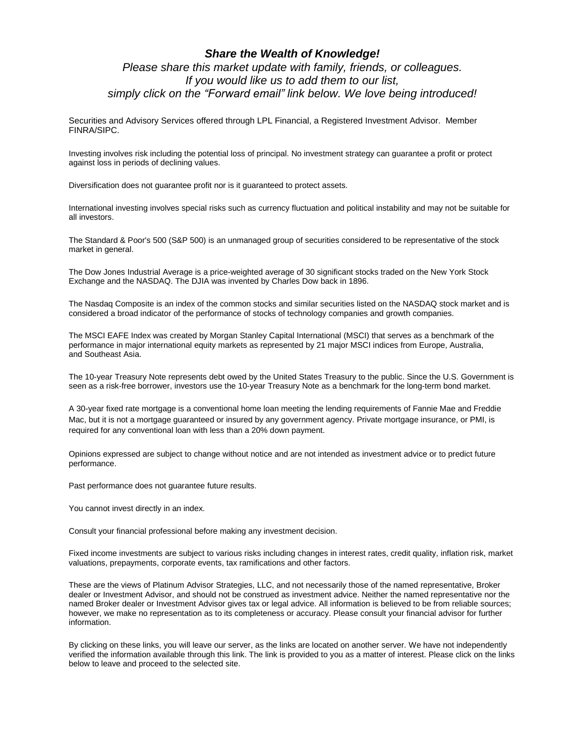#### *Share the Wealth of Knowledge! Please share this market update with family, friends, or colleagues. If you would like us to add them to our list, simply click on the "Forward email" link below. We love being introduced!*

Securities and Advisory Services offered through LPL Financial, a Registered Investment Advisor. Member FINRA/SIPC.

Investing involves risk including the potential loss of principal. No investment strategy can guarantee a profit or protect against loss in periods of declining values.

Diversification does not guarantee profit nor is it guaranteed to protect assets.

International investing involves special risks such as currency fluctuation and political instability and may not be suitable for all investors.

The Standard & Poor's 500 (S&P 500) is an unmanaged group of securities considered to be representative of the stock market in general.

The Dow Jones Industrial Average is a price-weighted average of 30 significant stocks traded on the New York Stock Exchange and the NASDAQ. The DJIA was invented by Charles Dow back in 1896.

The Nasdaq Composite is an index of the common stocks and similar securities listed on the NASDAQ stock market and is considered a broad indicator of the performance of stocks of technology companies and growth companies.

The MSCI EAFE Index was created by Morgan Stanley Capital International (MSCI) that serves as a benchmark of the performance in major international equity markets as represented by 21 major MSCI indices from Europe, Australia, and Southeast Asia.

The 10-year Treasury Note represents debt owed by the United States Treasury to the public. Since the U.S. Government is seen as a risk-free borrower, investors use the 10-year Treasury Note as a benchmark for the long-term bond market.

A 30-year fixed rate mortgage is a conventional home loan meeting the lending requirements of Fannie Mae and Freddie Mac, but it is not a mortgage guaranteed or insured by any government agency. Private mortgage insurance, or PMI, is required for any conventional loan with less than a 20% down payment.

Opinions expressed are subject to change without notice and are not intended as investment advice or to predict future performance.

Past performance does not guarantee future results.

You cannot invest directly in an index.

Consult your financial professional before making any investment decision.

Fixed income investments are subject to various risks including changes in interest rates, credit quality, inflation risk, market valuations, prepayments, corporate events, tax ramifications and other factors.

These are the views of Platinum Advisor Strategies, LLC, and not necessarily those of the named representative, Broker dealer or Investment Advisor, and should not be construed as investment advice. Neither the named representative nor the named Broker dealer or Investment Advisor gives tax or legal advice. All information is believed to be from reliable sources; however, we make no representation as to its completeness or accuracy. Please consult your financial advisor for further information.

By clicking on these links, you will leave our server, as the links are located on another server. We have not independently verified the information available through this link. The link is provided to you as a matter of interest. Please click on the links below to leave and proceed to the selected site.